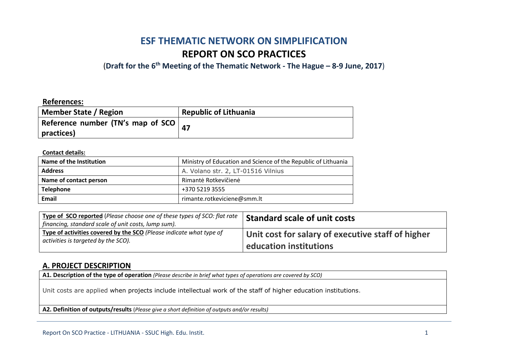# **ESF THEMATIC NETWORK ON SIMPLIFICATION REPORT ON SCO PRACTICES**

(**Draft for the 6th Meeting of the Thematic Network - The Hague – 8-9 June, 2017**)

#### **References:**

| <b>Member State / Region</b>              | <b>Republic of Lithuania</b> |
|-------------------------------------------|------------------------------|
| Reference number (TN's map of SCO $\vert$ |                              |
| practices)                                |                              |

#### **Contact details:**

| Name of the Institution | Ministry of Education and Science of the Republic of Lithuania |
|-------------------------|----------------------------------------------------------------|
| <b>Address</b>          | A. Volano str. 2, LT-01516 Vilnius                             |
| Name of contact person  | Rimantė Rotkevičienė                                           |
| <b>Telephone</b>        | +370 5219 3555                                                 |
| Email                   | rimante.rotkeviciene@smm.lt                                    |

| <b>Type of SCO reported</b> (Please choose one of these types of SCO: flat rate  <br>financing, standard scale of unit costs, lump sum). | <b>Standard scale of unit costs</b>               |
|------------------------------------------------------------------------------------------------------------------------------------------|---------------------------------------------------|
| Type of activities covered by the SCO (Please indicate what type of                                                                      | Unit cost for salary of executive staff of higher |
| activities is targeted by the SCO).                                                                                                      | education institutions                            |

#### **A. PROJECT DESCRIPTION**

**A1. Description of the type of operation** *(Please describe in brief what types of operations are covered by SCO)*

Unit costs are applied when projects include intellectual work of the staff of higher education institutions.

**A2. Definition of outputs/results** (*Please give a short definition of outputs and/or results)*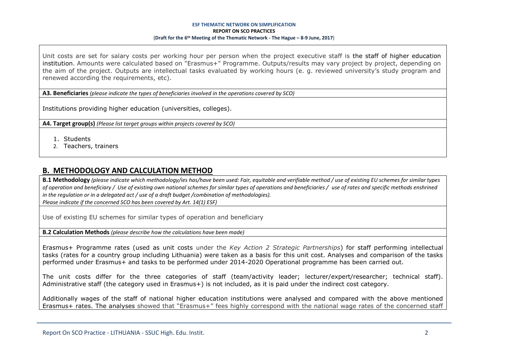Unit costs are set for salary costs per working hour per person when the project executive staff is the staff of higher education institution. Amounts were calculated based on "Erasmus+" Programme. Outputs/results may vary project by project, depending on the aim of the project. Outputs are intellectual tasks evaluated by working hours (e. g. reviewed university's study program and renewed according the requirements, etc).

**A3. Beneficiaries** *(please indicate the types of beneficiaries involved in the operations covered by SCO)*

Institutions providing higher education (universities, colleges).

**A4. Target group(s)** *(Please list target groups within projects covered by SCO)*

- 1. Students
- 2. Teachers, trainers

### **B. METHODOLOGY AND CALCULATION METHOD**

**B.1 Methodology** *(please indicate which methodology/ies has/have been used: Fair, equitable and verifiable method / use of existing EU schemes for similar types of operation and beneficiary / Use of existing own national schemes for similar types of operations and beneficiaries / use of rates and specific methods enshrined in the regulation or in a delegated act / use of a draft budget /combination of methodologies). Please indicate if the concerned SCO has been covered by Art. 14(1) ESF)*

Use of existing EU schemes for similar types of operation and beneficiary

**B.2 Calculation Methods** *(please describe how the calculations have been made)*

Erasmus+ Programme rates (used as unit costs under the *Key Action 2 Strategic Partnerships*) for staff performing intellectual tasks (rates for a country group including Lithuania) were taken as a basis for this unit cost. Analyses and comparison of the tasks performed under Erasmus+ and tasks to be performed under 2014-2020 Operational programme has been carried out.

The unit costs differ for the three categories of staff (team/activity leader; lecturer/expert/researcher; technical staff). Administrative staff (the category used in Erasmus+) is not included, as it is paid under the indirect cost category.

Additionally wages of the staff of national higher education institutions were analysed and compared with the above mentioned Erasmus+ rates. The analyses showed that "Erasmus+" fees highly correspond with the national wage rates of the concerned staff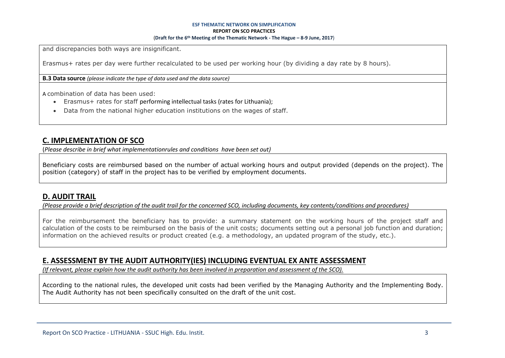and discrepancies both ways are insignificant.

Erasmus+ rates per day were further recalculated to be used per working hour (by dividing a day rate by 8 hours).

**B.3 Data source** *(please indicate the type of data used and the data source)*

A combination of data has been used:

- Erasmus+ rates for staff performing intellectual tasks (rates for Lithuania);
- Data from the national higher education institutions on the wages of staff.

### **C. IMPLEMENTATION OF SCO**

(*Please describe in brief what implementationrules and conditions have been set out)*

Beneficiary costs are reimbursed based on the number of actual working hours and output provided (depends on the project). The position (category) of staff in the project has to be verified by employment documents.

### **D. AUDIT TRAIL**

*(Please provide a brief description of the audit trail for the concerned SCO, including documents, key contents/conditions and procedures)*

For the reimbursement the beneficiary has to provide: a summary statement on the working hours of the project staff and calculation of the costs to be reimbursed on the basis of the unit costs; documents setting out a personal job function and duration; information on the achieved results or product created (e.g. a methodology, an updated program of the study, etc.).

### **E. ASSESSMENT BY THE AUDIT AUTHORITY(IES) INCLUDING EVENTUAL EX ANTE ASSESSMENT**

*(If relevant, please explain how the audit authority has been involved in preparation and assessment of the SCO).* 

According to the national rules, the developed unit costs had been verified by the Managing Authority and the Implementing Body. The Audit Authority has not been specifically consulted on the draft of the unit cost.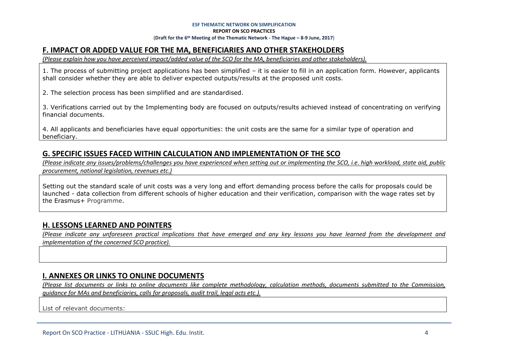# **F. IMPACT OR ADDED VALUE FOR THE MA, BENEFICIARIES AND OTHER STAKEHOLDERS**

*(Please explain how you have perceived impact/added value of the SCO for the MA, beneficiaries and other stakeholders).* 

1. The process of submitting project applications has been simplified – it is easier to fill in an application form. However, applicants shall consider whether they are able to deliver expected outputs/results at the proposed unit costs.

2. The selection process has been simplified and are standardised.

3. Verifications carried out by the Implementing body are focused on outputs/results achieved instead of concentrating on verifying financial documents.

4. All applicants and beneficiaries have equal opportunities: the unit costs are the same for a similar type of operation and beneficiary.

# **G. SPECIFIC ISSUES FACED WITHIN CALCULATION AND IMPLEMENTATION OF THE SCO**

*(Please indicate any issues/problems/challenges you have experienced when setting out or implementing the SCO, i.e. high workload, state aid, public procurement, national legislation, revenues etc.)*

Setting out the standard scale of unit costs was a very long and effort demanding process before the calls for proposals could be launched - data collection from different schools of higher education and their verification, comparison with the wage rates set by the Erasmus+ Programme.

# **H. LESSONS LEARNED AND POINTERS**

*(Please indicate any unforeseen practical implications that have emerged and any key lessons you have learned from the development and implementation of the concerned SCO practice).*

### **I. ANNEXES OR LINKS TO ONLINE DOCUMENTS**

*(Please list documents or links to online documents like complete methodology, calculation methods, documents submitted to the Commission, guidance for MAs and beneficiaries, calls for proposals, audit trail, legal acts etc.).*

List of relevant documents: